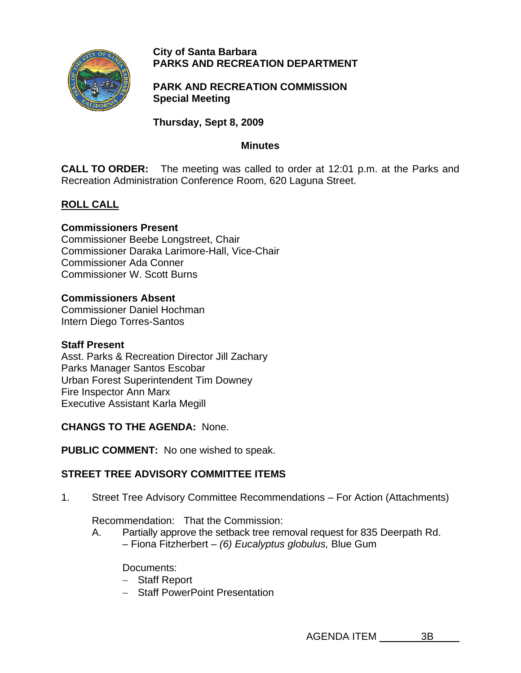

#### **City of Santa Barbara PARKS AND RECREATION DEPARTMENT**

**PARK AND RECREATION COMMISSION Special Meeting** 

**Thursday, Sept 8, 2009** 

#### **Minutes**

**CALL TO ORDER:** The meeting was called to order at 12:01 p.m. at the Parks and Recreation Administration Conference Room, 620 Laguna Street.

## **ROLL CALL**

### **Commissioners Present**

Commissioner Beebe Longstreet, Chair Commissioner Daraka Larimore-Hall, Vice-Chair Commissioner Ada Conner Commissioner W. Scott Burns

### **Commissioners Absent**

Commissioner Daniel Hochman Intern Diego Torres-Santos

#### **Staff Present**

Asst. Parks & Recreation Director Jill Zachary Parks Manager Santos Escobar Urban Forest Superintendent Tim Downey Fire Inspector Ann Marx Executive Assistant Karla Megill

**CHANGS TO THE AGENDA:** None.

**PUBLIC COMMENT:** No one wished to speak.

# **STREET TREE ADVISORY COMMITTEE ITEMS**

1. Street Tree Advisory Committee Recommendations – For Action (Attachments)

Recommendation: That the Commission:

A. Partially approve the setback tree removal request for 835 Deerpath Rd. – Fiona Fitzherbert – *(6) Eucalyptus globulus,* Blue Gum

Documents:

- − Staff Report
- − Staff PowerPoint Presentation